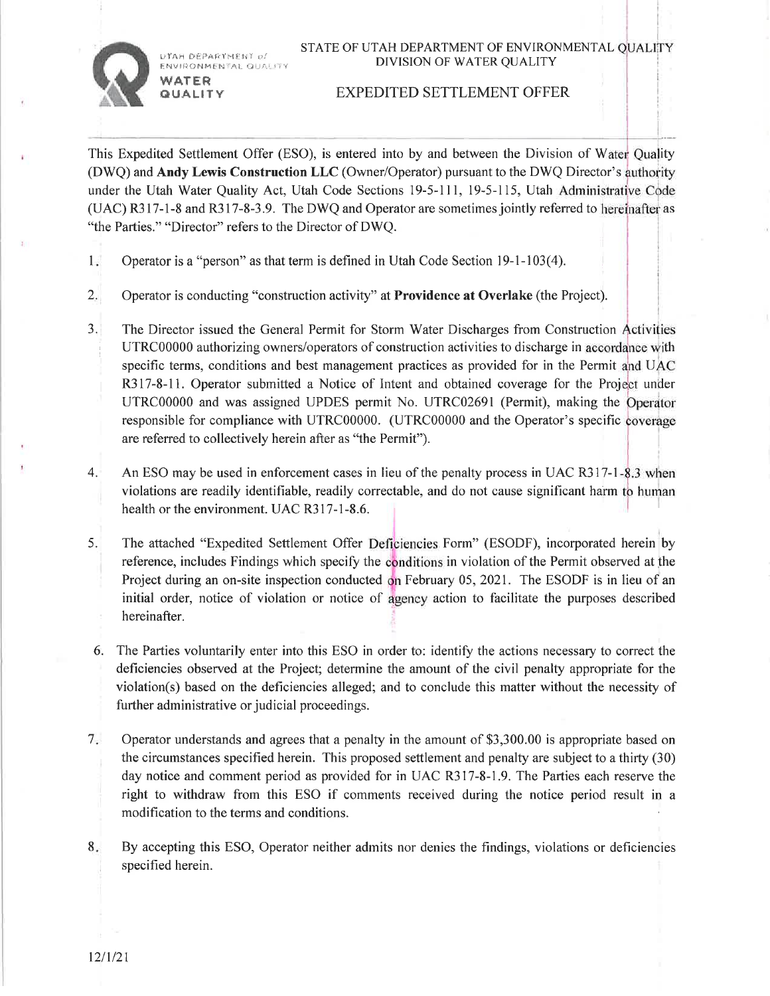STATE OF UTAH DEPARTMENT OF ENVIRONMENTAL OUALITY DIVISION OF WATER QUALITY



 $\nu$  fan department  $\rho$  . ENVIRONMENTAL QUALITY

WATER **QUALITY** 

## EXPEDITED SETTLEMENT OFFER

This Expedited Settlement Offer (ESO), is entered into by and between the Division of Water Quality (DWQ) and Andy Lewis Construction LLC (Owner/Operator) pursuant to the DWQ Director's under the Utah Water Quality Act, Utah Code Sections 19-5-111, 19-5-115, Utah  $(UAC)$  R317-1-8 and R317-8-3.9. The DWQ and Operator are sometimes jointly referred to hereinafter as "the Parties." "Director" refers to the Director of DWQ.

- Operator is a "person" as that term is defined in Utah Code Section 19-1-103(4). I
- Operator is conducting "construction activity" at Providence at Overlake (the Project).  $2.$
- The Director issued the General Permit for Storm Water Discharges from Construction UTRC00000 authorizing owners/operators of construction activities to discharge in accordance with specific terms, conditions and best management practices as provided for in the Permit and U R317-8-11. Operator submitted a Notice of Intent and obtained coverage for the Project under UTRC00000 and was assigned UPDES permit No. UTRC02691 (Permit), making the Operator responsible for compliance with UTRC00000. (UTRC00000 and the Operator's specific are referred to collectively herein after as "the Permit"). J.
- An ESO may be used in enforcement cases in lieu of the penalty process in UAC R317-1-8.3 when violations are readily identifiable, readily correctable, and do not cause significant harm health or the environment. UAC R317-1-8.6. 4.
- 5. The attached "Expedited Settlement Offer Deficiencies Form" (ESODF), incorporated herein by reference, includes Findings which specify the conditions in violation of the Permit observed at the Project during an on-site inspection conducted on February 05, 2021. The ESODF is in lieu of an initial order, notice of violation or notice of agency action to facilitate the purposes described hereinafter.
- 6. The Parties voluntarily enter into this ESO in order to: identify the actions necessary to correct the deficiencies observed at the Project; determine the amount of the civil penalty appropriate for the violation(s) based on the deficiencies alleged; and to conclude this matter without the necessity of further administrative or judicial proceedings.
- Operator understands and agrees that a penalty in the amount of \$3,300.00 is appropriate based on the circumstances specified herein. This proposed settlement and penalty are subject to a thirfy (30) day notice and comment period as provided for in UAC R317-8-1.9. The Parties each reserve the right to withdraw from this ESO if comments received during the notice period result in <sup>a</sup> modification to the terms and conditions.  $7.$
- 8. By accepting this ESO, Operator neither admits nor denies the findings, violations or deficiencies specified herein.